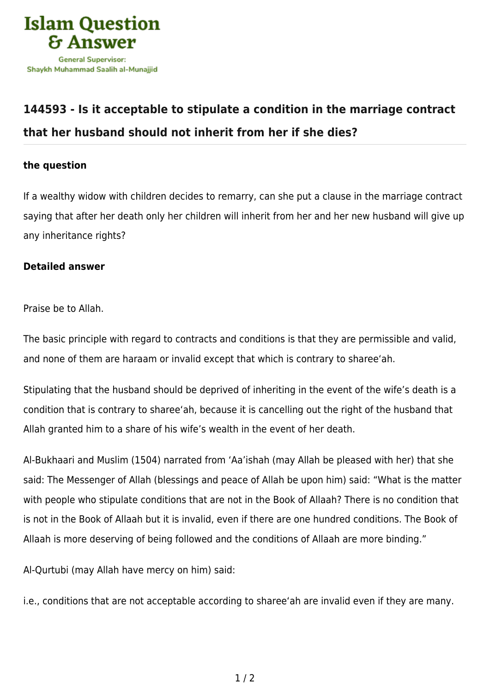

## **[144593 - Is it acceptable to stipulate a condition in the marriage contract](https://islamqa.com/en/answers/144593/is-it-acceptable-to-stipulate-a-condition-in-the-marriage-contract-that-her-husband-should-not-inherit-from-her-if-she-dies) [that her husband should not inherit from her if she dies?](https://islamqa.com/en/answers/144593/is-it-acceptable-to-stipulate-a-condition-in-the-marriage-contract-that-her-husband-should-not-inherit-from-her-if-she-dies)**

## **the question**

If a wealthy widow with children decides to remarry, can she put a clause in the marriage contract saying that after her death only her children will inherit from her and her new husband will give up any inheritance rights?

## **Detailed answer**

Praise be to Allah.

The basic principle with regard to contracts and conditions is that they are permissible and valid, and none of them are haraam or invalid except that which is contrary to sharee'ah.

Stipulating that the husband should be deprived of inheriting in the event of the wife's death is a condition that is contrary to sharee'ah, because it is cancelling out the right of the husband that Allah granted him to a share of his wife's wealth in the event of her death.

Al-Bukhaari and Muslim (1504) narrated from 'Aa'ishah (may Allah be pleased with her) that she said: The Messenger of Allah (blessings and peace of Allah be upon him) said: "What is the matter with people who stipulate conditions that are not in the Book of Allaah? There is no condition that is not in the Book of Allaah but it is invalid, even if there are one hundred conditions. The Book of Allaah is more deserving of being followed and the conditions of Allaah are more binding."

Al-Qurtubi (may Allah have mercy on him) said:

i.e., conditions that are not acceptable according to sharee'ah are invalid even if they are many.